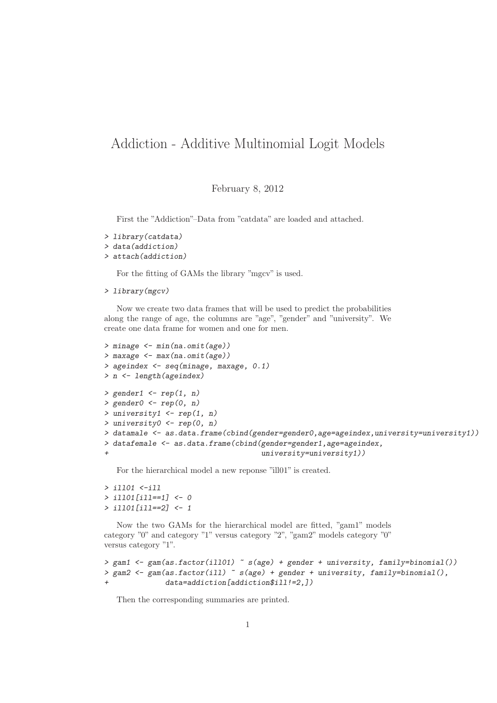## Addiction - Additive Multinomial Logit Models

February 8, 2012

First the "Addiction"–Data from "catdata" are loaded and attached.

```
> library(catdata)
> data(addiction)
> attach(addiction)
```
For the fitting of GAMs the library "mgcv" is used.

```
> library(mgcv)
```
Now we create two data frames that will be used to predict the probabilities along the range of age, the columns are "age", "gender" and "university". We create one data frame for women and one for men.

```
> minage <- min(na.omit(age))
> maxage <- max(na.omit(age))
> ageindex <- seq(minage, maxage, 0.1)
> n <- length(ageindex)
> gender1 \leq rep(1, n)
> gender0 < - rep(0, n)> university1 <- rep(1, n)
> university0 <- rep(0, n)
> datamale <- as.data.frame(cbind(gender=gender0,age=ageindex,university=university1))
> datafemale <- as.data.frame(cbind(gender=gender1,age=ageindex,
                                     university = university1))
```
For the hierarchical model a new reponse "ill01" is created.

```
> ill01 <-ill
> ill01[ill==1] <- 0
> ill01[ill==2] <- 1
```
Now the two GAMs for the hierarchical model are fitted, "gam1" models category "0" and category "1" versus category "2", "gam2" models category "0" versus category "1".

```
> gam1 <- gam(as.factor(ill01) ~ s(age) + gender + university, family=binomial())
> gam2 <- gam(as.factor(ill) ~ s(age) + gender + university, family=binomial(),
+ data=addiction[addiction$ill!=2,])
```
Then the corresponding summaries are printed.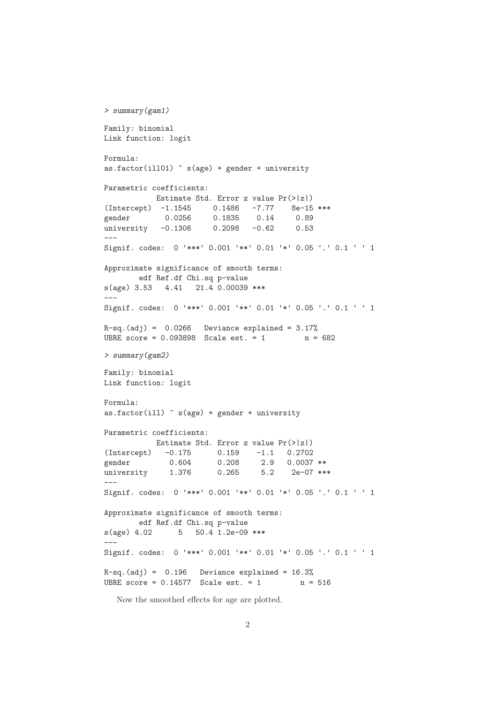```
> summary(gam1)
Family: binomial
Link function: logit
Formula:
as.factor(ill01) \tilde{ } s(age) + gender + university
Parametric coefficients:
          Estimate Std. Error z value Pr(>|z|)
(Intercept) -1.1545 0.1486 -7.77 8e-15 ***
gender 0.0256 0.1835 0.14 0.89
university -0.1306 0.2098 -0.62 0.53
\overline{-}Signif. codes: 0 '***' 0.001 '**' 0.01 '*' 0.05 '.' 0.1 ' ' 1
Approximate significance of smooth terms:
       edf Ref.df Chi.sq p-value
s(age) 3.53 4.41 21.4 0.00039 ***
---Signif. codes: 0 '***' 0.001 '**' 0.01 '*' 0.05 '.' 0.1 ' ' 1
R-sq.(adj) = 0.0266 Deviance explained = 3.17%UBRE score = 0.093898 Scale est. = 1 n = 682
> summary(gam2)
Family: binomial
Link function: logit
Formula:
as.factor(ill) \tilde{ } s(age) + gender + university
Parametric coefficients:
          Estimate Std. Error z value Pr(>|z|)
(Intercept) -0.175 0.159 -1.1 0.2702
gender 0.604 0.208 2.9 0.0037 **
university  1.376  0.265  5.2  2e-07 ***
---Signif. codes: 0 '***' 0.001 '**' 0.01 '*' 0.05 '.' 0.1 ' ' 1
Approximate significance of smooth terms:
       edf Ref.df Chi.sq p-value
s(age) 4.02 5 50.4 1.2e-09 ***
---
Signif. codes: 0 '***' 0.001 '**' 0.01 '*' 0.05 '.' 0.1 ' ' 1
R-sq.(adj) = 0.196 Deviance explained = 16.3%
UBRE score = 0.14577 Scale est. = 1 n = 516
```
Now the smoothed effects for age are plotted.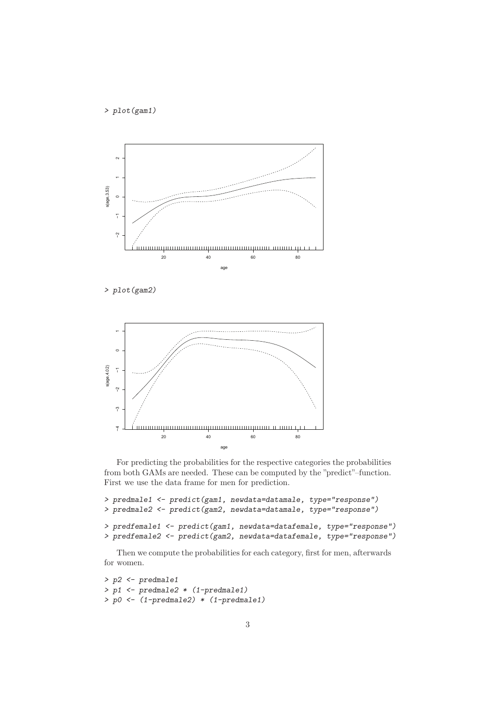> plot(gam1)



> plot(gam2)



For predicting the probabilities for the respective categories the probabilities from both GAMs are needed. These can be computed by the "predict"–function. First we use the data frame for men for prediction.

```
> predmale1 <- predict(gam1, newdata=datamale, type="response")
> predmale2 <- predict(gam2, newdata=datamale, type="response")
> predfemale1 <- predict(gam1, newdata=datafemale, type="response")
> predfemale2 <- predict(gam2, newdata=datafemale, type="response")
```
Then we compute the probabilities for each category, first for men, afterwards for women.

```
> p2 <- predmale1
> p1 <- predmale2 * (1-predmale1)
> p0 <- (1-predmale2) * (1-predmale1)
```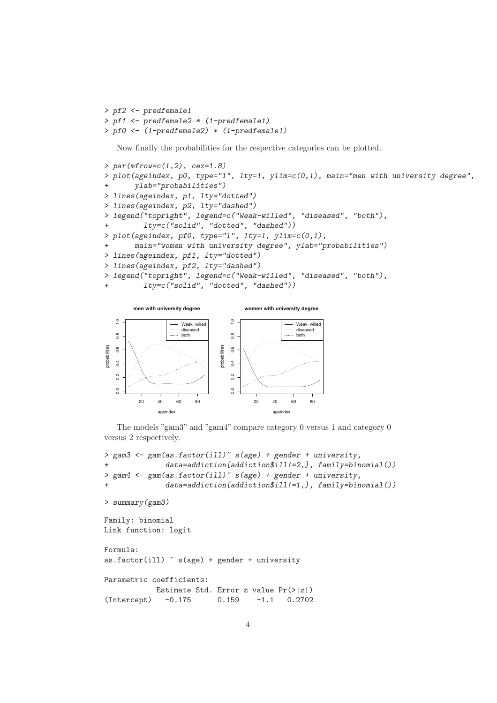```
> pf2 <- predfemale1
> pf1 <- predfemale2 * (1-predfemale1)
> pf0 <- (1-predfemale2) * (1-predfemale1)
```
Now finally the probabilities for the respective categories can be plotted.

```
> par(mfrow=c(1,2), cex=1.8)> plot(ageindex, p0, type="1", lty=1, ylim=c(0,1), main="men with university degree",
      ylab="probabilities")
> lines(ageindex, p1, lty="dotted")
> lines(ageindex, p2, lty="dashed")
> legend("topright", legend=c("Weak-willed", "diseased", "both"),
+ lty=c("solid", "dotted", "dashed"))
> plot(ageindex, pf0, type="1", lty=1, ylim=c(0,1),
+ main="women with university degree", ylab="probabilities")
> lines(ageindex, pf1, lty="dotted")
> lines(ageindex, pf2, lty="dashed")
> legend("topright", legend=c("Weak-willed", "diseased", "both"),
         lty=c("solid", "dotted", "dashed"))
```


The models "gam3" and "gam4" compare category 0 versus 1 and category 0 versus 2 respectively.

```
> gam3 <- gam(as.factor(ill)<sup>~</sup> s(age) + gender + university,
+ data=addiction[addiction$ill!=2,], family=binomial())
> gam4 <- gam(as.factor(ill)<sup>-</sup> s(age) + gender + university,
              data=addiction[addiction$ill!=1,], family=binomial())
> summary(gam3)
Family: binomial
Link function: logit
Formula:
as.factor(ill) \tilde{ } s(age) + gender + university
Parametric coefficients:
            Estimate Std. Error z value Pr(>|z|)
(Intercept) -0.175 0.159 -1.1 0.2702
```